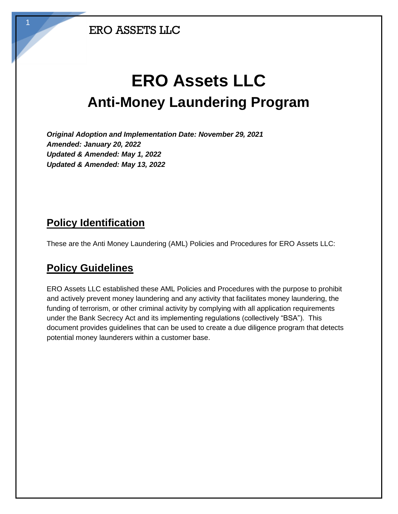1

# **ERO Assets LLC Anti-Money Laundering Program**

*Original Adoption and Implementation Date: November 29, 2021 Amended: January 20, 2022 Updated & Amended: May 1, 2022 Updated & Amended: May 13, 2022*

#### **Policy Identification**

These are the Anti Money Laundering (AML) Policies and Procedures for ERO Assets LLC:

### **Policy Guidelines**

ERO Assets LLC established these AML Policies and Procedures with the purpose to prohibit and actively prevent money laundering and any activity that facilitates money laundering, the funding of terrorism, or other criminal activity by complying with all application requirements under the Bank Secrecy Act and its implementing regulations (collectively "BSA"). This document provides guidelines that can be used to create a due diligence program that detects potential money launderers within a customer base.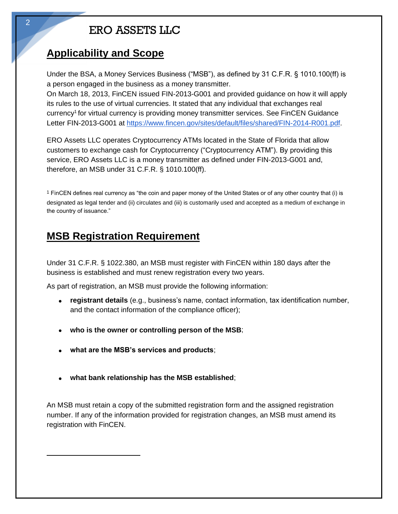#### **Applicability and Scope**

Under the BSA, a Money Services Business ("MSB"), as defined by 31 C.F.R. § 1010.100(ff) is a person engaged in the business as a money transmitter.

On March 18, 2013, FinCEN issued FIN-2013-G001 and provided guidance on how it will apply its rules to the use of virtual currencies. It stated that any individual that exchanges real currency<sup>1</sup> for virtual currency is providing money transmitter services. See FinCEN Guidance Letter FIN-2013-G001 at https://www.fincen.gov/sites/default/files/shared/FIN-2014-R001.pdf.

ERO Assets LLC operates Cryptocurrency ATMs located in the State of Florida that allow customers to exchange cash for Cryptocurrency ("Cryptocurrency ATM"). By providing this service, ERO Assets LLC is a money transmitter as defined under FIN-2013-G001 and, therefore, an MSB under 31 C.F.R. § 1010.100(ff).

1 FinCEN defines real currency as "the coin and paper money of the United States or of any other country that (i) is designated as legal tender and (ii) circulates and (iii) is customarily used and accepted as a medium of exchange in the country of issuance."

### **MSB Registration Requirement**

Under 31 C.F.R. § 1022.380, an MSB must register with FinCEN within 180 days after the business is established and must renew registration every two years.

As part of registration, an MSB must provide the following information:

- **registrant details** (e.g., business's name, contact information, tax identification number, and the contact information of the compliance officer);
- **who is the owner or controlling person of the MSB**;
- **what are the MSB's services and products**;
- **what bank relationship has the MSB established**;

An MSB must retain a copy of the submitted registration form and the assigned registration number. If any of the information provided for registration changes, an MSB must amend its registration with FinCEN.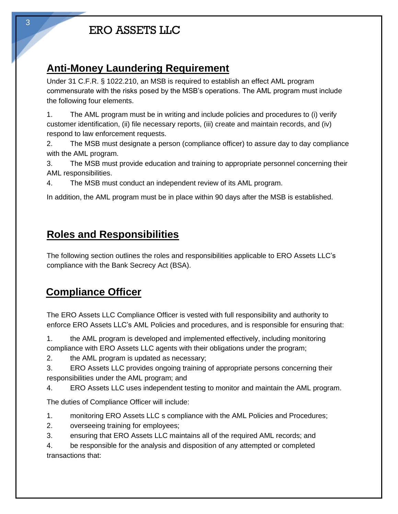### **Anti-Money Laundering Requirement**

Under 31 C.F.R. § 1022.210, an MSB is required to establish an effect AML program commensurate with the risks posed by the MSB's operations. The AML program must include the following four elements.

1. The AML program must be in writing and include policies and procedures to (i) verify customer identification, (ii) file necessary reports, (iii) create and maintain records, and (iv) respond to law enforcement requests.

2. The MSB must designate a person (compliance officer) to assure day to day compliance with the AML program.

3. The MSB must provide education and training to appropriate personnel concerning their AML responsibilities.

4. The MSB must conduct an independent review of its AML program.

In addition, the AML program must be in place within 90 days after the MSB is established.

### **Roles and Responsibilities**

The following section outlines the roles and responsibilities applicable to ERO Assets LLC's compliance with the Bank Secrecy Act (BSA).

# **Compliance Officer**

The ERO Assets LLC Compliance Officer is vested with full responsibility and authority to enforce ERO Assets LLC's AML Policies and procedures, and is responsible for ensuring that:

1. the AML program is developed and implemented effectively, including monitoring compliance with ERO Assets LLC agents with their obligations under the program;

2. the AML program is updated as necessary;

3. ERO Assets LLC provides ongoing training of appropriate persons concerning their responsibilities under the AML program; and

4. ERO Assets LLC uses independent testing to monitor and maintain the AML program.

The duties of Compliance Officer will include:

- 1. monitoring ERO Assets LLC s compliance with the AML Policies and Procedures;
- 2. overseeing training for employees;
- 3. ensuring that ERO Assets LLC maintains all of the required AML records; and

4. be responsible for the analysis and disposition of any attempted or completed transactions that: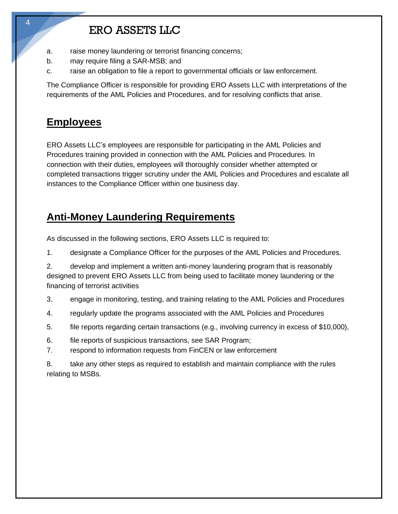- a. raise money laundering or terrorist financing concerns;
- b. may require filing a SAR-MSB; and
- c. raise an obligation to file a report to governmental officials or law enforcement.

The Compliance Officer is responsible for providing ERO Assets LLC with interpretations of the requirements of the AML Policies and Procedures, and for resolving conflicts that arise.

### **Employees**

4

ERO Assets LLC's employees are responsible for participating in the AML Policies and Procedures training provided in connection with the AML Policies and Procedures. In connection with their duties, employees will thoroughly consider whether attempted or completed transactions trigger scrutiny under the AML Policies and Procedures and escalate all instances to the Compliance Officer within one business day.

### **Anti-Money Laundering Requirements**

As discussed in the following sections, ERO Assets LLC is required to:

- 1. designate a Compliance Officer for the purposes of the AML Policies and Procedures.
- 2. develop and implement a written anti-money laundering program that is reasonably designed to prevent ERO Assets LLC from being used to facilitate money laundering or the financing of terrorist activities
- 3. engage in monitoring, testing, and training relating to the AML Policies and Procedures
- 4. regularly update the programs associated with the AML Policies and Procedures
- 5. file reports regarding certain transactions (e.g., involving currency in excess of \$10,000),
- 6. file reports of suspicious transactions, see SAR Program;
- 7. respond to information requests from FinCEN or law enforcement

8. take any other steps as required to establish and maintain compliance with the rules relating to MSBs.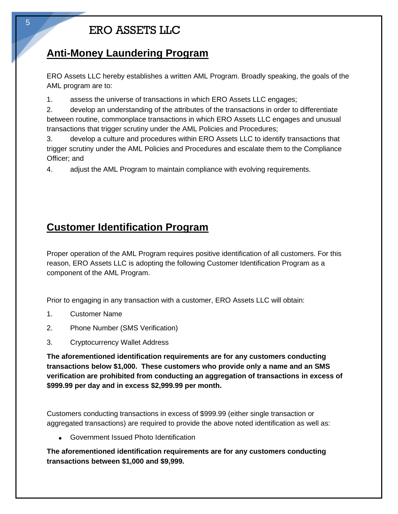### **Anti-Money Laundering Program**

ERO Assets LLC hereby establishes a written AML Program. Broadly speaking, the goals of the AML program are to:

1. assess the universe of transactions in which ERO Assets LLC engages;

2. develop an understanding of the attributes of the transactions in order to differentiate between routine, commonplace transactions in which ERO Assets LLC engages and unusual transactions that trigger scrutiny under the AML Policies and Procedures;

3. develop a culture and procedures within ERO Assets LLC to identify transactions that trigger scrutiny under the AML Policies and Procedures and escalate them to the Compliance Officer; and

4. adjust the AML Program to maintain compliance with evolving requirements.

### **Customer Identification Program**

Proper operation of the AML Program requires positive identification of all customers. For this reason, ERO Assets LLC is adopting the following Customer Identification Program as a component of the AML Program.

Prior to engaging in any transaction with a customer, ERO Assets LLC will obtain:

- 1. Customer Name
- 2. Phone Number (SMS Verification)
- 3. Cryptocurrency Wallet Address

**The aforementioned identification requirements are for any customers conducting transactions below \$1,000. These customers who provide only a name and an SMS verification are prohibited from conducting an aggregation of transactions in excess of \$999.99 per day and in excess \$2,999.99 per month.**

Customers conducting transactions in excess of \$999.99 (either single transaction or aggregated transactions) are required to provide the above noted identification as well as:

• Government Issued Photo Identification

**The aforementioned identification requirements are for any customers conducting transactions between \$1,000 and \$9,999.**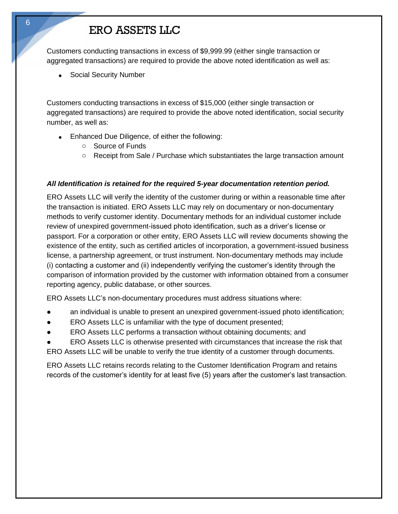Customers conducting transactions in excess of \$9,999.99 (either single transaction or aggregated transactions) are required to provide the above noted identification as well as:

• Social Security Number

Customers conducting transactions in excess of \$15,000 (either single transaction or aggregated transactions) are required to provide the above noted identification, social security number, as well as:

- Enhanced Due Diligence, of either the following:
	- o Source of Funds
	- o Receipt from Sale / Purchase which substantiates the large transaction amount

#### *All Identification is retained for the required 5-year documentation retention period.*

ERO Assets LLC will verify the identity of the customer during or within a reasonable time after the transaction is initiated. ERO Assets LLC may rely on documentary or non-documentary methods to verify customer identity. Documentary methods for an individual customer include review of unexpired government-issued photo identification, such as a driver's license or passport. For a corporation or other entity, ERO Assets LLC will review documents showing the existence of the entity, such as certified articles of incorporation, a government-issued business license, a partnership agreement, or trust instrument. Non-documentary methods may include (i) contacting a customer and (ii) independently verifying the customer's identity through the comparison of information provided by the customer with information obtained from a consumer reporting agency, public database, or other sources.

ERO Assets LLC's non-documentary procedures must address situations where:

- an individual is unable to present an unexpired government-issued photo identification;
- ERO Assets LLC is unfamiliar with the type of document presented;
- ERO Assets LLC performs a transaction without obtaining documents; and
- ERO Assets LLC is otherwise presented with circumstances that increase the risk that ERO Assets LLC will be unable to verify the true identity of a customer through documents.

ERO Assets LLC retains records relating to the Customer Identification Program and retains records of the customer's identity for at least five (5) years after the customer's last transaction.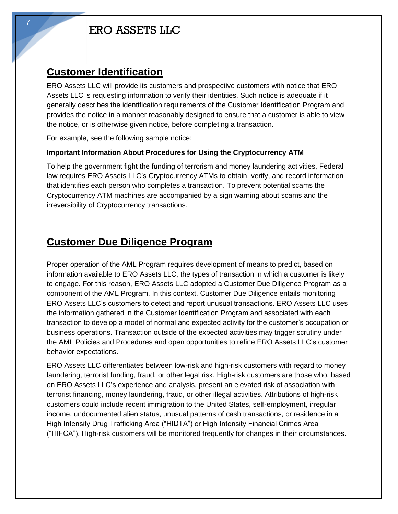#### **Customer Identification**

ERO Assets LLC will provide its customers and prospective customers with notice that ERO Assets LLC is requesting information to verify their identities. Such notice is adequate if it generally describes the identification requirements of the Customer Identification Program and provides the notice in a manner reasonably designed to ensure that a customer is able to view the notice, or is otherwise given notice, before completing a transaction.

For example, see the following sample notice:

#### **Important Information About Procedures for Using the Cryptocurrency ATM**

To help the government fight the funding of terrorism and money laundering activities, Federal law requires ERO Assets LLC's Cryptocurrency ATMs to obtain, verify, and record information that identifies each person who completes a transaction. To prevent potential scams the Cryptocurrency ATM machines are accompanied by a sign warning about scams and the irreversibility of Cryptocurrency transactions.

#### **Customer Due Diligence Program**

Proper operation of the AML Program requires development of means to predict, based on information available to ERO Assets LLC, the types of transaction in which a customer is likely to engage. For this reason, ERO Assets LLC adopted a Customer Due Diligence Program as a component of the AML Program. In this context, Customer Due Diligence entails monitoring ERO Assets LLC's customers to detect and report unusual transactions. ERO Assets LLC uses the information gathered in the Customer Identification Program and associated with each transaction to develop a model of normal and expected activity for the customer's occupation or business operations. Transaction outside of the expected activities may trigger scrutiny under the AML Policies and Procedures and open opportunities to refine ERO Assets LLC's customer behavior expectations.

ERO Assets LLC differentiates between low-risk and high-risk customers with regard to money laundering, terrorist funding, fraud, or other legal risk. High-risk customers are those who, based on ERO Assets LLC's experience and analysis, present an elevated risk of association with terrorist financing, money laundering, fraud, or other illegal activities. Attributions of high-risk customers could include recent immigration to the United States, self-employment, irregular income, undocumented alien status, unusual patterns of cash transactions, or residence in a High Intensity Drug Trafficking Area ("HIDTA") or High Intensity Financial Crimes Area ("HIFCA"). High-risk customers will be monitored frequently for changes in their circumstances.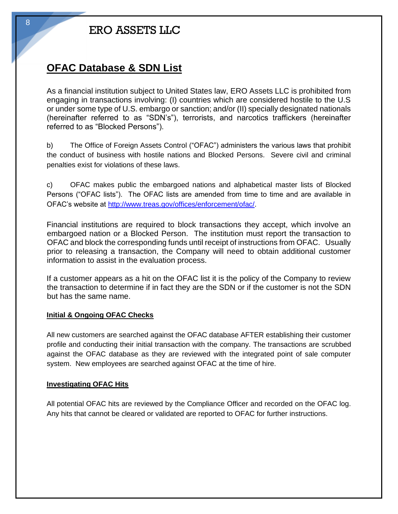#### **OFAC Database & SDN List**

As a financial institution subject to United States law, ERO Assets LLC is prohibited from engaging in transactions involving: (I) countries which are considered hostile to the U.S or under some type of U.S. embargo or sanction; and/or (II) specially designated nationals (hereinafter referred to as "SDN's"), terrorists, and narcotics traffickers (hereinafter referred to as "Blocked Persons").

b) The Office of Foreign Assets Control ("OFAC") administers the various laws that prohibit the conduct of business with hostile nations and Blocked Persons. Severe civil and criminal penalties exist for violations of these laws.

c) OFAC makes public the embargoed nations and alphabetical master lists of Blocked Persons ("OFAC lists"). The OFAC lists are amended from time to time and are available in OFAC's website at [http://www.treas.gov/offices/enforcement/ofac/.](http://www.treas.gov/offices/enforcement/ofac/)

Financial institutions are required to block transactions they accept, which involve an embargoed nation or a Blocked Person. The institution must report the transaction to OFAC and block the corresponding funds until receipt of instructions from OFAC. Usually prior to releasing a transaction, the Company will need to obtain additional customer information to assist in the evaluation process.

If a customer appears as a hit on the OFAC list it is the policy of the Company to review the transaction to determine if in fact they are the SDN or if the customer is not the SDN but has the same name.

#### **Initial & Ongoing OFAC Checks**

All new customers are searched against the OFAC database AFTER establishing their customer profile and conducting their initial transaction with the company. The transactions are scrubbed against the OFAC database as they are reviewed with the integrated point of sale computer system. New employees are searched against OFAC at the time of hire.

#### **Investigating OFAC Hits**

All potential OFAC hits are reviewed by the Compliance Officer and recorded on the OFAC log. Any hits that cannot be cleared or validated are reported to OFAC for further instructions.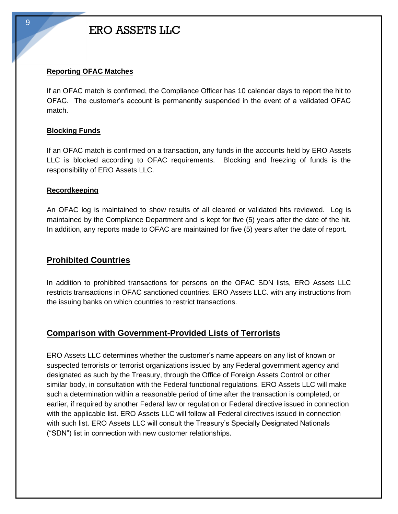#### **Reporting OFAC Matches**

If an OFAC match is confirmed, the Compliance Officer has 10 calendar days to report the hit to OFAC. The customer's account is permanently suspended in the event of a validated OFAC match.

#### **Blocking Funds**

If an OFAC match is confirmed on a transaction, any funds in the accounts held by ERO Assets LLC is blocked according to OFAC requirements. Blocking and freezing of funds is the responsibility of ERO Assets LLC.

#### **Recordkeeping**

An OFAC log is maintained to show results of all cleared or validated hits reviewed. Log is maintained by the Compliance Department and is kept for five (5) years after the date of the hit. In addition, any reports made to OFAC are maintained for five (5) years after the date of report.

#### **Prohibited Countries**

In addition to prohibited transactions for persons on the OFAC SDN lists, ERO Assets LLC restricts transactions in OFAC sanctioned countries. ERO Assets LLC. with any instructions from the issuing banks on which countries to restrict transactions.

#### **Comparison with Government-Provided Lists of Terrorists**

ERO Assets LLC determines whether the customer's name appears on any list of known or suspected terrorists or terrorist organizations issued by any Federal government agency and designated as such by the Treasury, through the Office of Foreign Assets Control or other similar body, in consultation with the Federal functional regulations. ERO Assets LLC will make such a determination within a reasonable period of time after the transaction is completed, or earlier, if required by another Federal law or regulation or Federal directive issued in connection with the applicable list. ERO Assets LLC will follow all Federal directives issued in connection with such list. ERO Assets LLC will consult the Treasury's Specially Designated Nationals ("SDN") list in connection with new customer relationships.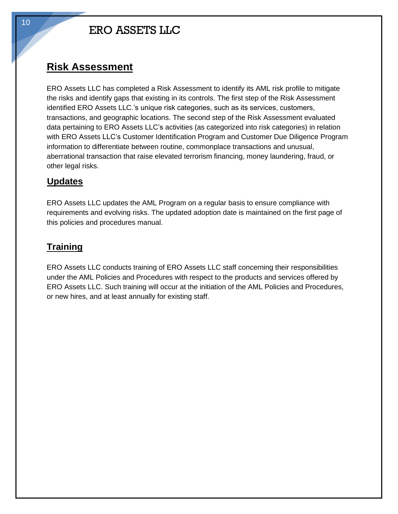#### **Risk Assessment**

ERO Assets LLC has completed a Risk Assessment to identify its AML risk profile to mitigate the risks and identify gaps that existing in its controls. The first step of the Risk Assessment identified ERO Assets LLC.'s unique risk categories, such as its services, customers, transactions, and geographic locations. The second step of the Risk Assessment evaluated data pertaining to ERO Assets LLC's activities (as categorized into risk categories) in relation with ERO Assets LLC's Customer Identification Program and Customer Due Diligence Program information to differentiate between routine, commonplace transactions and unusual, aberrational transaction that raise elevated terrorism financing, money laundering, fraud, or other legal risks.

#### **Updates**

ERO Assets LLC updates the AML Program on a regular basis to ensure compliance with requirements and evolving risks. The updated adoption date is maintained on the first page of this policies and procedures manual.

#### **Training**

ERO Assets LLC conducts training of ERO Assets LLC staff concerning their responsibilities under the AML Policies and Procedures with respect to the products and services offered by ERO Assets LLC. Such training will occur at the initiation of the AML Policies and Procedures, or new hires, and at least annually for existing staff.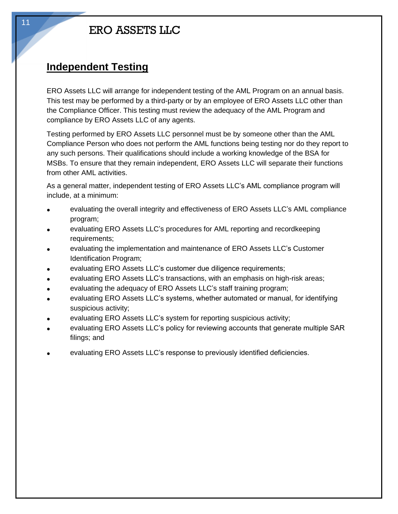#### **Independent Testing**

ERO Assets LLC will arrange for independent testing of the AML Program on an annual basis. This test may be performed by a third-party or by an employee of ERO Assets LLC other than the Compliance Officer. This testing must review the adequacy of the AML Program and compliance by ERO Assets LLC of any agents.

Testing performed by ERO Assets LLC personnel must be by someone other than the AML Compliance Person who does not perform the AML functions being testing nor do they report to any such persons. Their qualifications should include a working knowledge of the BSA for MSBs. To ensure that they remain independent, ERO Assets LLC will separate their functions from other AML activities.

As a general matter, independent testing of ERO Assets LLC's AML compliance program will include, at a minimum:

- evaluating the overall integrity and effectiveness of ERO Assets LLC's AML compliance program;
- evaluating ERO Assets LLC's procedures for AML reporting and recordkeeping requirements;
- evaluating the implementation and maintenance of ERO Assets LLC's Customer Identification Program;
- evaluating ERO Assets LLC's customer due diligence requirements;
- evaluating ERO Assets LLC's transactions, with an emphasis on high-risk areas;
- evaluating the adequacy of ERO Assets LLC's staff training program;
- evaluating ERO Assets LLC's systems, whether automated or manual, for identifying suspicious activity;
- evaluating ERO Assets LLC's system for reporting suspicious activity;
- evaluating ERO Assets LLC's policy for reviewing accounts that generate multiple SAR filings; and
- evaluating ERO Assets LLC's response to previously identified deficiencies.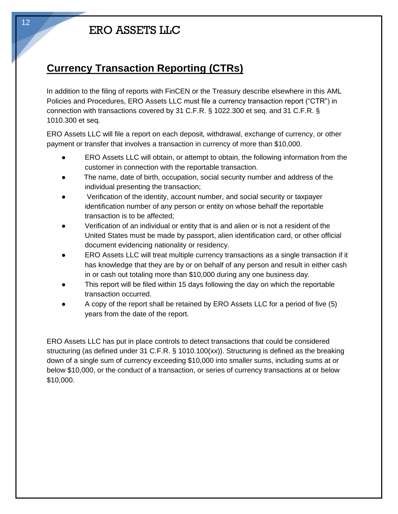### **Currency Transaction Reporting (CTRs)**

In addition to the filing of reports with FinCEN or the Treasury describe elsewhere in this AML Policies and Procedures, ERO Assets LLC must file a currency transaction report ("CTR") in connection with transactions covered by 31 C.F.R. § 1022.300 et seq. and 31 C.F.R. § 1010.300 et seq.

ERO Assets LLC will file a report on each deposit, withdrawal, exchange of currency, or other payment or transfer that involves a transaction in currency of more than \$10,000.

- ERO Assets LLC will obtain, or attempt to obtain, the following information from the customer in connection with the reportable transaction.
- The name, date of birth, occupation, social security number and address of the individual presenting the transaction;
- Verification of the identity, account number, and social security or taxpayer identification number of any person or entity on whose behalf the reportable transaction is to be affected;
- Verification of an individual or entity that is and alien or is not a resident of the United States must be made by passport, alien identification card, or other official document evidencing nationality or residency.
- ERO Assets LLC will treat multiple currency transactions as a single transaction if it has knowledge that they are by or on behalf of any person and result in either cash in or cash out totaling more than \$10,000 during any one business day.
- This report will be filed within 15 days following the day on which the reportable transaction occurred.
- A copy of the report shall be retained by ERO Assets LLC for a period of five (5) years from the date of the report.

ERO Assets LLC has put in place controls to detect transactions that could be considered structuring (as defined under 31 C.F.R. § 1010.100(xx)). Structuring is defined as the breaking down of a single sum of currency exceeding \$10,000 into smaller sums, including sums at or below \$10,000, or the conduct of a transaction, or series of currency transactions at or below \$10,000.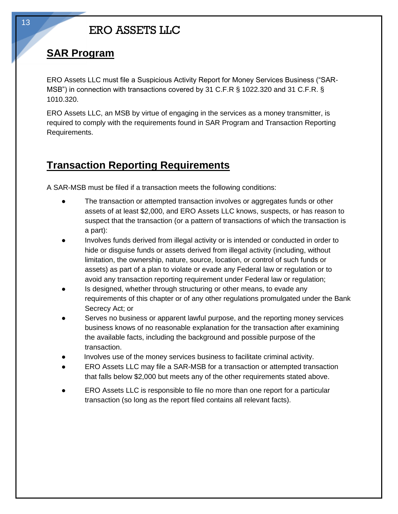#### **SAR Program**

ERO Assets LLC must file a Suspicious Activity Report for Money Services Business ("SAR-MSB") in connection with transactions covered by 31 C.F.R § 1022.320 and 31 C.F.R. § 1010.320.

ERO Assets LLC, an MSB by virtue of engaging in the services as a money transmitter, is required to comply with the requirements found in SAR Program and Transaction Reporting Requirements.

#### **Transaction Reporting Requirements**

A SAR-MSB must be filed if a transaction meets the following conditions:

- The transaction or attempted transaction involves or aggregates funds or other assets of at least \$2,000, and ERO Assets LLC knows, suspects, or has reason to suspect that the transaction (or a pattern of transactions of which the transaction is a part):
- Involves funds derived from illegal activity or is intended or conducted in order to hide or disguise funds or assets derived from illegal activity (including, without limitation, the ownership, nature, source, location, or control of such funds or assets) as part of a plan to violate or evade any Federal law or regulation or to avoid any transaction reporting requirement under Federal law or regulation;
- Is designed, whether through structuring or other means, to evade any requirements of this chapter or of any other regulations promulgated under the Bank Secrecy Act; or
- Serves no business or apparent lawful purpose, and the reporting money services business knows of no reasonable explanation for the transaction after examining the available facts, including the background and possible purpose of the transaction.
- Involves use of the money services business to facilitate criminal activity.
- ERO Assets LLC may file a SAR-MSB for a transaction or attempted transaction that falls below \$2,000 but meets any of the other requirements stated above.
- ERO Assets LLC is responsible to file no more than one report for a particular transaction (so long as the report filed contains all relevant facts).

13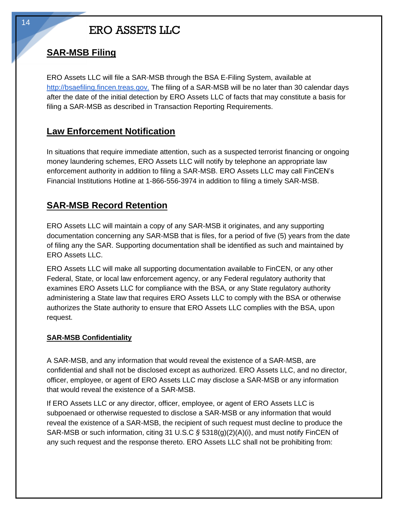#### **SAR-MSB Filing**

ERO Assets LLC will file a SAR-MSB through the BSA E-Filing System, available at http://bsaefiling.fincen.treas.gov. The filing of a SAR-MSB will be no later than 30 calendar days after the date of the initial detection by ERO Assets LLC of facts that may constitute a basis for filing a SAR-MSB as described in Transaction Reporting Requirements.

#### **Law Enforcement Notification**

In situations that require immediate attention, such as a suspected terrorist financing or ongoing money laundering schemes, ERO Assets LLC will notify by telephone an appropriate law enforcement authority in addition to filing a SAR-MSB. ERO Assets LLC may call FinCEN's Financial Institutions Hotline at 1-866-556-3974 in addition to filing a timely SAR-MSB.

#### **SAR-MSB Record Retention**

ERO Assets LLC will maintain a copy of any SAR-MSB it originates, and any supporting documentation concerning any SAR-MSB that is files, for a period of five (5) years from the date of filing any the SAR. Supporting documentation shall be identified as such and maintained by ERO Assets LLC.

ERO Assets LLC will make all supporting documentation available to FinCEN, or any other Federal, State, or local law enforcement agency, or any Federal regulatory authority that examines ERO Assets LLC for compliance with the BSA, or any State regulatory authority administering a State law that requires ERO Assets LLC to comply with the BSA or otherwise authorizes the State authority to ensure that ERO Assets LLC complies with the BSA, upon request.

#### **SAR-MSB Confidentiality**

A SAR-MSB, and any information that would reveal the existence of a SAR-MSB, are confidential and shall not be disclosed except as authorized. ERO Assets LLC, and no director, officer, employee, or agent of ERO Assets LLC may disclose a SAR-MSB or any information that would reveal the existence of a SAR-MSB.

If ERO Assets LLC or any director, officer, employee, or agent of ERO Assets LLC is subpoenaed or otherwise requested to disclose a SAR-MSB or any information that would reveal the existence of a SAR-MSB, the recipient of such request must decline to produce the SAR-MSB or such information, citing 31 U.S.C *§* 5318(g)(2)(A)(i), and must notify FinCEN of any such request and the response thereto. ERO Assets LLC shall not be prohibiting from: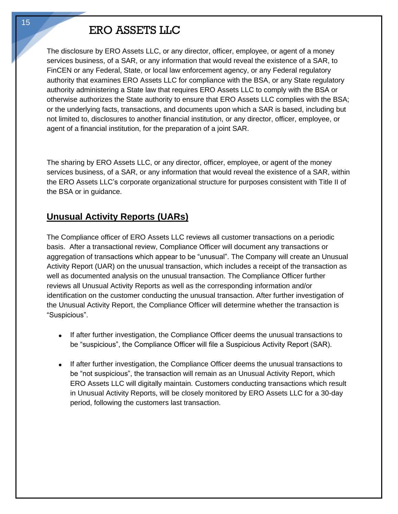The disclosure by ERO Assets LLC, or any director, officer, employee, or agent of a money services business, of a SAR, or any information that would reveal the existence of a SAR, to FinCEN or any Federal, State, or local law enforcement agency, or any Federal regulatory authority that examines ERO Assets LLC for compliance with the BSA, or any State regulatory authority administering a State law that requires ERO Assets LLC to comply with the BSA or otherwise authorizes the State authority to ensure that ERO Assets LLC complies with the BSA; or the underlying facts, transactions, and documents upon which a SAR is based, including but not limited to, disclosures to another financial institution, or any director, officer, employee, or agent of a financial institution, for the preparation of a joint SAR.

The sharing by ERO Assets LLC, or any director, officer, employee, or agent of the money services business, of a SAR, or any information that would reveal the existence of a SAR, within the ERO Assets LLC's corporate organizational structure for purposes consistent with Title II of the BSA or in guidance.

#### **Unusual Activity Reports (UARs)**

The Compliance officer of ERO Assets LLC reviews all customer transactions on a periodic basis. After a transactional review, Compliance Officer will document any transactions or aggregation of transactions which appear to be "unusual". The Company will create an Unusual Activity Report (UAR) on the unusual transaction, which includes a receipt of the transaction as well as documented analysis on the unusual transaction. The Compliance Officer further reviews all Unusual Activity Reports as well as the corresponding information and/or identification on the customer conducting the unusual transaction. After further investigation of the Unusual Activity Report, the Compliance Officer will determine whether the transaction is "Suspicious".

- If after further investigation, the Compliance Officer deems the unusual transactions to be "suspicious", the Compliance Officer will file a Suspicious Activity Report (SAR).
- If after further investigation, the Compliance Officer deems the unusual transactions to be "not suspicious", the transaction will remain as an Unusual Activity Report, which ERO Assets LLC will digitally maintain. Customers conducting transactions which result in Unusual Activity Reports, will be closely monitored by ERO Assets LLC for a 30-day period, following the customers last transaction.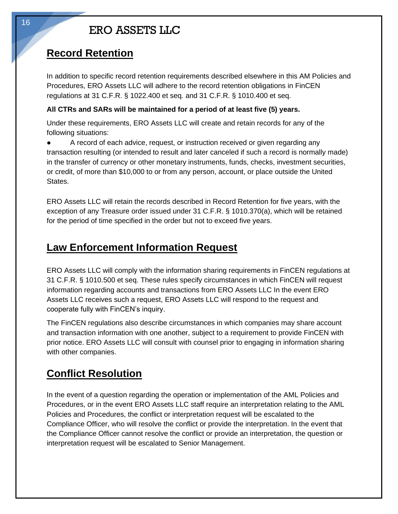#### **Record Retention**

In addition to specific record retention requirements described elsewhere in this AM Policies and Procedures, ERO Assets LLC will adhere to the record retention obligations in FinCEN regulations at 31 C.F.R. § 1022.400 et seq. and 31 C.F.R. § 1010.400 et seq.

#### **All CTRs and SARs will be maintained for a period of at least five (5) years.**

Under these requirements, ERO Assets LLC will create and retain records for any of the following situations:

● A record of each advice, request, or instruction received or given regarding any transaction resulting (or intended to result and later canceled if such a record is normally made) in the transfer of currency or other monetary instruments, funds, checks, investment securities, or credit, of more than \$10,000 to or from any person, account, or place outside the United States.

ERO Assets LLC will retain the records described in Record Retention for five years, with the exception of any Treasure order issued under 31 C.F.R. § 1010.370(a), which will be retained for the period of time specified in the order but not to exceed five years.

#### **Law Enforcement Information Request**

ERO Assets LLC will comply with the information sharing requirements in FinCEN regulations at 31 C.F.R. § 1010.500 et seq. These rules specify circumstances in which FinCEN will request information regarding accounts and transactions from ERO Assets LLC In the event ERO Assets LLC receives such a request, ERO Assets LLC will respond to the request and cooperate fully with FinCEN's inquiry.

The FinCEN regulations also describe circumstances in which companies may share account and transaction information with one another, subject to a requirement to provide FinCEN with prior notice. ERO Assets LLC will consult with counsel prior to engaging in information sharing with other companies.

### **Conflict Resolution**

In the event of a question regarding the operation or implementation of the AML Policies and Procedures, or in the event ERO Assets LLC staff require an interpretation relating to the AML Policies and Procedures, the conflict or interpretation request will be escalated to the Compliance Officer, who will resolve the conflict or provide the interpretation. In the event that the Compliance Officer cannot resolve the conflict or provide an interpretation, the question or interpretation request will be escalated to Senior Management.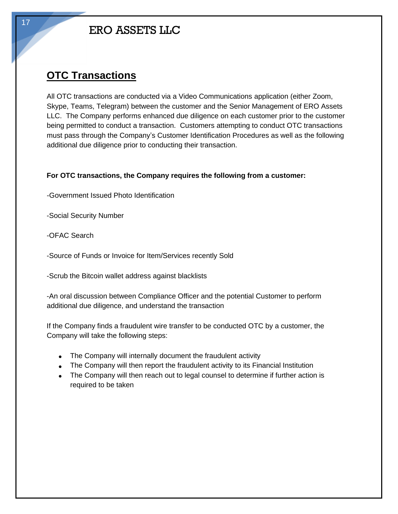### **OTC Transactions**

All OTC transactions are conducted via a Video Communications application (either Zoom, Skype, Teams, Telegram) between the customer and the Senior Management of ERO Assets LLC. The Company performs enhanced due diligence on each customer prior to the customer being permitted to conduct a transaction. Customers attempting to conduct OTC transactions must pass through the Company's Customer Identification Procedures as well as the following additional due diligence prior to conducting their transaction.

#### **For OTC transactions, the Company requires the following from a customer:**

-Government Issued Photo Identification

-Social Security Number

-OFAC Search

-Source of Funds or Invoice for Item/Services recently Sold

-Scrub the Bitcoin wallet address against blacklists

-An oral discussion between Compliance Officer and the potential Customer to perform additional due diligence, and understand the transaction

If the Company finds a fraudulent wire transfer to be conducted OTC by a customer, the Company will take the following steps:

- The Company will internally document the fraudulent activity
- The Company will then report the fraudulent activity to its Financial Institution
- The Company will then reach out to legal counsel to determine if further action is required to be taken